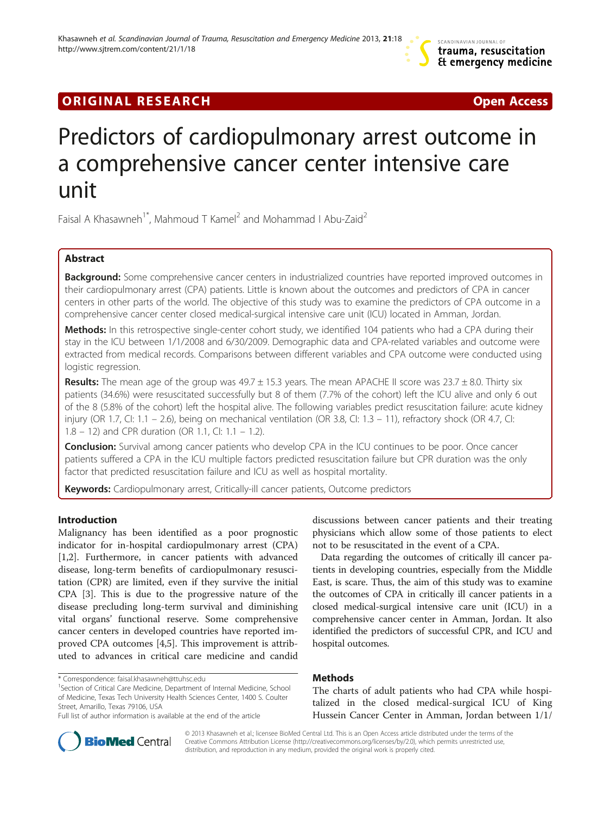# **ORIGINAL RESEARCH CONSUMING A RESEARCH CONSUMING A RESEARCH**

# Predictors of cardiopulmonary arrest outcome in a comprehensive cancer center intensive care unit

Faisal A Khasawneh<sup>1\*</sup>, Mahmoud T Kamel<sup>2</sup> and Mohammad I Abu-Zaid<sup>2</sup>

# Abstract

Background: Some comprehensive cancer centers in industrialized countries have reported improved outcomes in their cardiopulmonary arrest (CPA) patients. Little is known about the outcomes and predictors of CPA in cancer centers in other parts of the world. The objective of this study was to examine the predictors of CPA outcome in a comprehensive cancer center closed medical-surgical intensive care unit (ICU) located in Amman, Jordan.

Methods: In this retrospective single-center cohort study, we identified 104 patients who had a CPA during their stay in the ICU between 1/1/2008 and 6/30/2009. Demographic data and CPA-related variables and outcome were extracted from medical records. Comparisons between different variables and CPA outcome were conducted using logistic regression.

**Results:** The mean age of the group was  $49.7 \pm 15.3$  years. The mean APACHE II score was  $23.7 \pm 8.0$ . Thirty six patients (34.6%) were resuscitated successfully but 8 of them (7.7% of the cohort) left the ICU alive and only 6 out of the 8 (5.8% of the cohort) left the hospital alive. The following variables predict resuscitation failure: acute kidney injury (OR 1.7, CI: 1.1 – 2.6), being on mechanical ventilation (OR 3.8, CI: 1.3 – 11), refractory shock (OR 4.7, CI: 1.8 – 12) and CPR duration (OR 1.1, CI: 1.1 – 1.2).

**Conclusion:** Survival among cancer patients who develop CPA in the ICU continues to be poor. Once cancer patients suffered a CPA in the ICU multiple factors predicted resuscitation failure but CPR duration was the only factor that predicted resuscitation failure and ICU as well as hospital mortality.

Keywords: Cardiopulmonary arrest, Critically-ill cancer patients, Outcome predictors

# Introduction

Malignancy has been identified as a poor prognostic indicator for in-hospital cardiopulmonary arrest (CPA) [[1,2\]](#page-4-0). Furthermore, in cancer patients with advanced disease, long-term benefits of cardiopulmonary resuscitation (CPR) are limited, even if they survive the initial CPA [\[3](#page-4-0)]. This is due to the progressive nature of the disease precluding long-term survival and diminishing vital organs' functional reserve. Some comprehensive cancer centers in developed countries have reported improved CPA outcomes [[4](#page-4-0),[5\]](#page-4-0). This improvement is attributed to advances in critical care medicine and candid

discussions between cancer patients and their treating physicians which allow some of those patients to elect not to be resuscitated in the event of a CPA.

Data regarding the outcomes of critically ill cancer patients in developing countries, especially from the Middle East, is scare. Thus, the aim of this study was to examine the outcomes of CPA in critically ill cancer patients in a closed medical-surgical intensive care unit (ICU) in a comprehensive cancer center in Amman, Jordan. It also identified the predictors of successful CPR, and ICU and hospital outcomes.

# Methods

The charts of adult patients who had CPA while hospitalized in the closed medical-surgical ICU of King Hussein Cancer Center in Amman, Jordan between 1/1/



© 2013 Khasawneh et al.; licensee BioMed Central Ltd. This is an Open Access article distributed under the terms of the Creative Commons Attribution License (<http://creativecommons.org/licenses/by/2.0>), which permits unrestricted use, distribution, and reproduction in any medium, provided the original work is properly cited.

<sup>\*</sup> Correspondence: [faisal.khasawneh@ttuhsc.edu](mailto:faisal.khasawneh@ttuhsc.edu) <sup>1</sup>

<sup>&</sup>lt;sup>1</sup>Section of Critical Care Medicine, Department of Internal Medicine, School of Medicine, Texas Tech University Health Sciences Center, 1400 S. Coulter Street, Amarillo, Texas 79106, USA

Full list of author information is available at the end of the article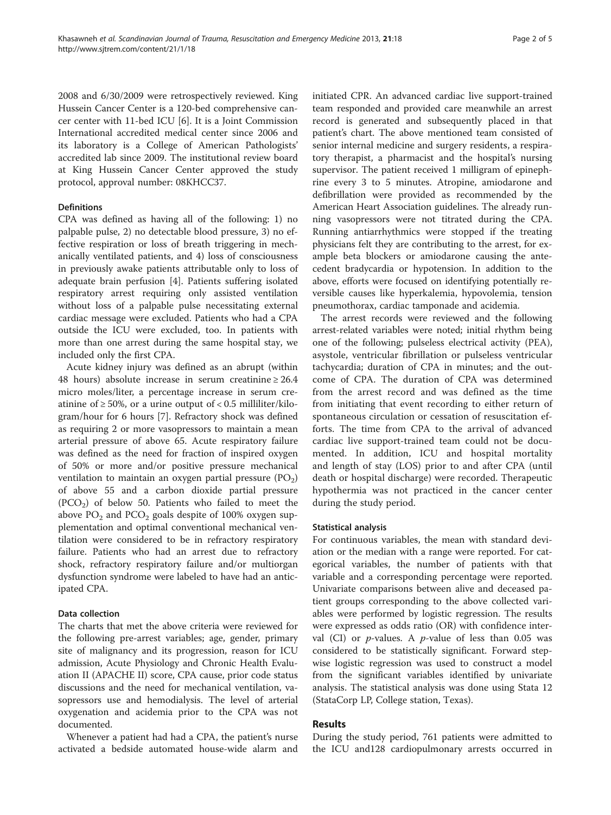2008 and 6/30/2009 were retrospectively reviewed. King Hussein Cancer Center is a 120-bed comprehensive cancer center with 11-bed ICU [[6\]](#page-4-0). It is a Joint Commission International accredited medical center since 2006 and its laboratory is a College of American Pathologists' accredited lab since 2009. The institutional review board at King Hussein Cancer Center approved the study protocol, approval number: 08KHCC37.

## Definitions

CPA was defined as having all of the following: 1) no palpable pulse, 2) no detectable blood pressure, 3) no effective respiration or loss of breath triggering in mechanically ventilated patients, and 4) loss of consciousness in previously awake patients attributable only to loss of adequate brain perfusion [\[4](#page-4-0)]. Patients suffering isolated respiratory arrest requiring only assisted ventilation without loss of a palpable pulse necessitating external cardiac message were excluded. Patients who had a CPA outside the ICU were excluded, too. In patients with more than one arrest during the same hospital stay, we included only the first CPA.

Acute kidney injury was defined as an abrupt (within 48 hours) absolute increase in serum creatinine  $\geq 26.4$ micro moles/liter, a percentage increase in serum creatinine of  $\geq 50\%$ , or a urine output of < 0.5 milliliter/kilogram/hour for 6 hours [[7](#page-4-0)]. Refractory shock was defined as requiring 2 or more vasopressors to maintain a mean arterial pressure of above 65. Acute respiratory failure was defined as the need for fraction of inspired oxygen of 50% or more and/or positive pressure mechanical ventilation to maintain an oxygen partial pressure  $(PO<sub>2</sub>)$ of above 55 and a carbon dioxide partial pressure  $(PCO<sub>2</sub>)$  of below 50. Patients who failed to meet the above  $PO_2$  and  $PCO_2$  goals despite of 100% oxygen supplementation and optimal conventional mechanical ventilation were considered to be in refractory respiratory failure. Patients who had an arrest due to refractory shock, refractory respiratory failure and/or multiorgan dysfunction syndrome were labeled to have had an anticipated CPA.

# Data collection

The charts that met the above criteria were reviewed for the following pre-arrest variables; age, gender, primary site of malignancy and its progression, reason for ICU admission, Acute Physiology and Chronic Health Evaluation II (APACHE II) score, CPA cause, prior code status discussions and the need for mechanical ventilation, vasopressors use and hemodialysis. The level of arterial oxygenation and acidemia prior to the CPA was not documented.

Whenever a patient had had a CPA, the patient's nurse activated a bedside automated house-wide alarm and initiated CPR. An advanced cardiac live support-trained team responded and provided care meanwhile an arrest record is generated and subsequently placed in that patient's chart. The above mentioned team consisted of senior internal medicine and surgery residents, a respiratory therapist, a pharmacist and the hospital's nursing supervisor. The patient received 1 milligram of epinephrine every 3 to 5 minutes. Atropine, amiodarone and defibrillation were provided as recommended by the American Heart Association guidelines. The already running vasopressors were not titrated during the CPA. Running antiarrhythmics were stopped if the treating physicians felt they are contributing to the arrest, for example beta blockers or amiodarone causing the antecedent bradycardia or hypotension. In addition to the above, efforts were focused on identifying potentially reversible causes like hyperkalemia, hypovolemia, tension pneumothorax, cardiac tamponade and acidemia.

The arrest records were reviewed and the following arrest-related variables were noted; initial rhythm being one of the following; pulseless electrical activity (PEA), asystole, ventricular fibrillation or pulseless ventricular tachycardia; duration of CPA in minutes; and the outcome of CPA. The duration of CPA was determined from the arrest record and was defined as the time from initiating that event recording to either return of spontaneous circulation or cessation of resuscitation efforts. The time from CPA to the arrival of advanced cardiac live support-trained team could not be documented. In addition, ICU and hospital mortality and length of stay (LOS) prior to and after CPA (until death or hospital discharge) were recorded. Therapeutic hypothermia was not practiced in the cancer center during the study period.

# Statistical analysis

For continuous variables, the mean with standard deviation or the median with a range were reported. For categorical variables, the number of patients with that variable and a corresponding percentage were reported. Univariate comparisons between alive and deceased patient groups corresponding to the above collected variables were performed by logistic regression. The results were expressed as odds ratio (OR) with confidence interval (CI) or  $p$ -values. A  $p$ -value of less than 0.05 was considered to be statistically significant. Forward stepwise logistic regression was used to construct a model from the significant variables identified by univariate analysis. The statistical analysis was done using Stata 12 (StataCorp LP, College station, Texas).

# Results

During the study period, 761 patients were admitted to the ICU and128 cardiopulmonary arrests occurred in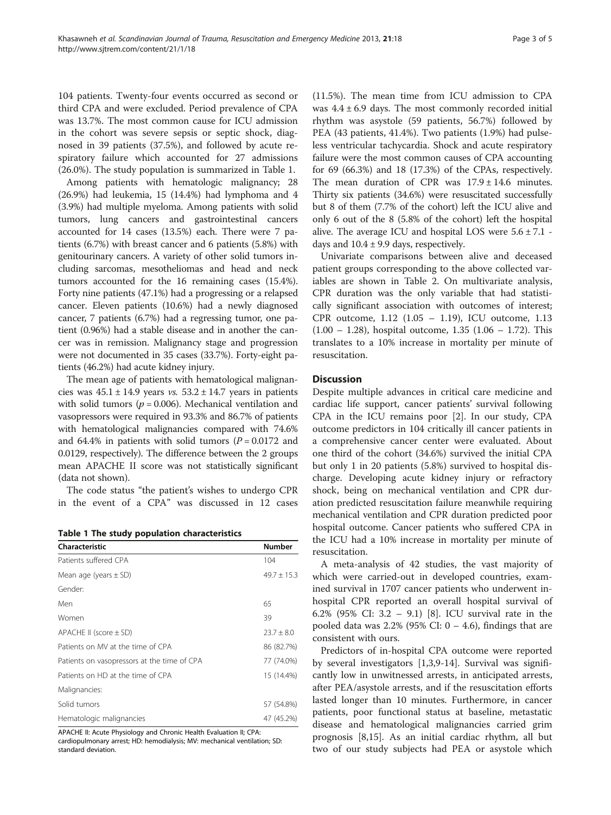104 patients. Twenty-four events occurred as second or third CPA and were excluded. Period prevalence of CPA was 13.7%. The most common cause for ICU admission in the cohort was severe sepsis or septic shock, diagnosed in 39 patients (37.5%), and followed by acute respiratory failure which accounted for 27 admissions (26.0%). The study population is summarized in Table 1.

Among patients with hematologic malignancy; 28 (26.9%) had leukemia, 15 (14.4%) had lymphoma and 4 (3.9%) had multiple myeloma. Among patients with solid tumors, lung cancers and gastrointestinal cancers accounted for 14 cases (13.5%) each. There were 7 patients (6.7%) with breast cancer and 6 patients (5.8%) with genitourinary cancers. A variety of other solid tumors including sarcomas, mesotheliomas and head and neck tumors accounted for the 16 remaining cases (15.4%). Forty nine patients (47.1%) had a progressing or a relapsed cancer. Eleven patients (10.6%) had a newly diagnosed cancer, 7 patients (6.7%) had a regressing tumor, one patient (0.96%) had a stable disease and in another the cancer was in remission. Malignancy stage and progression were not documented in 35 cases (33.7%). Forty-eight patients (46.2%) had acute kidney injury.

The mean age of patients with hematological malignancies was  $45.1 \pm 14.9$  years vs.  $53.2 \pm 14.7$  years in patients with solid tumors ( $p = 0.006$ ). Mechanical ventilation and vasopressors were required in 93.3% and 86.7% of patients with hematological malignancies compared with 74.6% and 64.4% in patients with solid tumors ( $P = 0.0172$  and 0.0129, respectively). The difference between the 2 groups mean APACHE II score was not statistically significant (data not shown).

The code status "the patient's wishes to undergo CPR in the event of a CPA" was discussed in 12 cases

Table 1 The study population characteristics

| Characteristic                              | <b>Number</b>   |
|---------------------------------------------|-----------------|
| Patients suffered CPA                       | 104             |
| Mean age (years $\pm$ SD)                   | $49.7 \pm 15.3$ |
| Gender:                                     |                 |
| Men                                         | 65              |
| Women                                       | 39              |
| APACHE II (score $\pm$ SD)                  | $23.7 \pm 8.0$  |
| Patients on MV at the time of CPA           | 86 (82.7%)      |
| Patients on vasopressors at the time of CPA | 77 (74.0%)      |
| Patients on HD at the time of CPA           | 15 (14.4%)      |
| Malignancies:                               |                 |
| Solid tumors                                | 57 (54.8%)      |
| Hematologic malignancies                    | 47 (45.2%)      |

APACHE II: Acute Physiology and Chronic Health Evaluation II; CPA: cardiopulmonary arrest; HD: hemodialysis; MV: mechanical ventilation; SD: standard deviation.

(11.5%). The mean time from ICU admission to CPA was  $4.4 \pm 6.9$  days. The most commonly recorded initial rhythm was asystole (59 patients, 56.7%) followed by PEA (43 patients, 41.4%). Two patients (1.9%) had pulseless ventricular tachycardia. Shock and acute respiratory failure were the most common causes of CPA accounting for 69 (66.3%) and 18 (17.3%) of the CPAs, respectively. The mean duration of CPR was  $17.9 \pm 14.6$  minutes. Thirty six patients (34.6%) were resuscitated successfully but 8 of them (7.7% of the cohort) left the ICU alive and only 6 out of the 8 (5.8% of the cohort) left the hospital alive. The average ICU and hospital LOS were  $5.6 \pm 7.1$  days and  $10.4 \pm 9.9$  days, respectively.

Univariate comparisons between alive and deceased patient groups corresponding to the above collected variables are shown in Table [2](#page-3-0). On multivariate analysis, CPR duration was the only variable that had statistically significant association with outcomes of interest; CPR outcome, 1.12 (1.05 – 1.19), ICU outcome, 1.13 (1.00 – 1.28), hospital outcome, 1.35 (1.06 – 1.72). This translates to a 10% increase in mortality per minute of resuscitation.

### **Discussion**

Despite multiple advances in critical care medicine and cardiac life support, cancer patients' survival following CPA in the ICU remains poor [\[2](#page-4-0)]. In our study, CPA outcome predictors in 104 critically ill cancer patients in a comprehensive cancer center were evaluated. About one third of the cohort (34.6%) survived the initial CPA but only 1 in 20 patients (5.8%) survived to hospital discharge. Developing acute kidney injury or refractory shock, being on mechanical ventilation and CPR duration predicted resuscitation failure meanwhile requiring mechanical ventilation and CPR duration predicted poor hospital outcome. Cancer patients who suffered CPA in the ICU had a 10% increase in mortality per minute of resuscitation.

A meta-analysis of 42 studies, the vast majority of which were carried-out in developed countries, examined survival in 1707 cancer patients who underwent inhospital CPR reported an overall hospital survival of 6.2% (95% CI: 3.2 – 9.1) [[8\]](#page-4-0). ICU survival rate in the pooled data was 2.2% (95% CI:  $0 - 4.6$ ), findings that are consistent with ours.

Predictors of in-hospital CPA outcome were reported by several investigators [[1,3,9-14](#page-4-0)]. Survival was significantly low in unwitnessed arrests, in anticipated arrests, after PEA/asystole arrests, and if the resuscitation efforts lasted longer than 10 minutes. Furthermore, in cancer patients, poor functional status at baseline, metastatic disease and hematological malignancies carried grim prognosis [\[8,15](#page-4-0)]. As an initial cardiac rhythm, all but two of our study subjects had PEA or asystole which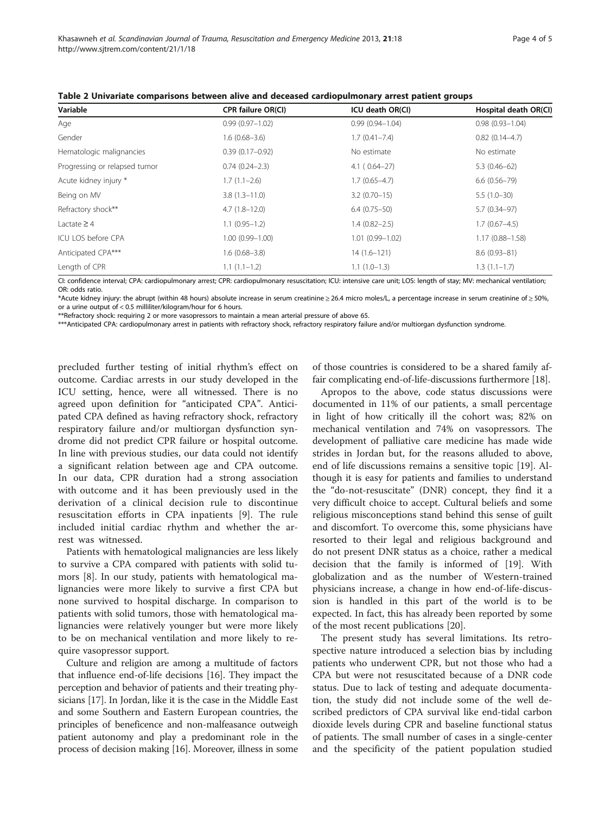| Variable                      | CPR failure OR(CI)  | ICU death OR(CI)    | Hospital death OR(CI) |
|-------------------------------|---------------------|---------------------|-----------------------|
| Age                           | $0.99(0.97 - 1.02)$ | $0.99(0.94 - 1.04)$ | $0.98(0.93 - 1.04)$   |
| Gender                        | $1.6(0.68 - 3.6)$   | $1.7(0.41 - 7.4)$   | $0.82(0.14-4.7)$      |
| Hematologic malignancies      | $0.39(0.17 - 0.92)$ | No estimate         | No estimate           |
| Progressing or relapsed tumor | $0.74(0.24 - 2.3)$  | $4.1(0.64-27)$      | $5.3(0.46-62)$        |
| Acute kidney injury *         | $1.7(1.1-2.6)$      | $1.7(0.65 - 4.7)$   | $6.6(0.56 - 79)$      |
| Being on MV                   | $3.8(1.3 - 11.0)$   | $3.2(0.70-15)$      | $5.5(1.0-30)$         |
| Refractory shock**            | $4.7(1.8-12.0)$     | $6.4(0.75 - 50)$    | $5.7(0.34 - 97)$      |
| Lactate $\geq$ 4              | $1.1(0.95-1.2)$     | $1.4(0.82 - 2.5)$   | $1.7(0.67 - 4.5)$     |
| ICU LOS before CPA            | $1.00(0.99 - 1.00)$ | $1.01(0.99 - 1.02)$ | $1.17(0.88 - 1.58)$   |
| Anticipated CPA***            | $1.6(0.68 - 3.8)$   | $14(1.6-121)$       | $8.6(0.93 - 81)$      |
| Length of CPR                 | $1.1(1.1-1.2)$      | $1.1(1.0-1.3)$      | $1.3(1.1-1.7)$        |

<span id="page-3-0"></span>Table 2 Univariate comparisons between alive and deceased cardiopulmonary arrest patient groups

CI: confidence interval; CPA: cardiopulmonary arrest; CPR: cardiopulmonary resuscitation; ICU: intensive care unit; LOS: length of stay; MV: mechanical ventilation; OR: odds ratio.

\*Acute kidney injury: the abrupt (within 48 hours) absolute increase in serum creatinine ≥ 26.4 micro moles/L, a percentage increase in serum creatinine of ≥ 50%, or a urine output of < 0.5 milliliter/kilogram/hour for 6 hours.

\*\*Refractory shock: requiring 2 or more vasopressors to maintain a mean arterial pressure of above 65.

\*\*\*Anticipated CPA: cardiopulmonary arrest in patients with refractory shock, refractory respiratory failure and/or multiorgan dysfunction syndrome.

precluded further testing of initial rhythm's effect on outcome. Cardiac arrests in our study developed in the ICU setting, hence, were all witnessed. There is no agreed upon definition for "anticipated CPA". Anticipated CPA defined as having refractory shock, refractory respiratory failure and/or multiorgan dysfunction syndrome did not predict CPR failure or hospital outcome. In line with previous studies, our data could not identify a significant relation between age and CPA outcome. In our data, CPR duration had a strong association with outcome and it has been previously used in the derivation of a clinical decision rule to discontinue resuscitation efforts in CPA inpatients [[9\]](#page-4-0). The rule included initial cardiac rhythm and whether the arrest was witnessed.

Patients with hematological malignancies are less likely to survive a CPA compared with patients with solid tumors [\[8](#page-4-0)]. In our study, patients with hematological malignancies were more likely to survive a first CPA but none survived to hospital discharge. In comparison to patients with solid tumors, those with hematological malignancies were relatively younger but were more likely to be on mechanical ventilation and more likely to require vasopressor support.

Culture and religion are among a multitude of factors that influence end-of-life decisions [[16](#page-4-0)]. They impact the perception and behavior of patients and their treating physicians [[17](#page-4-0)]. In Jordan, like it is the case in the Middle East and some Southern and Eastern European countries, the principles of beneficence and non-malfeasance outweigh patient autonomy and play a predominant role in the process of decision making [[16](#page-4-0)]. Moreover, illness in some of those countries is considered to be a shared family affair complicating end-of-life-discussions furthermore [[18](#page-4-0)].

Apropos to the above, code status discussions were documented in 11% of our patients, a small percentage in light of how critically ill the cohort was; 82% on mechanical ventilation and 74% on vasopressors. The development of palliative care medicine has made wide strides in Jordan but, for the reasons alluded to above, end of life discussions remains a sensitive topic [\[19\]](#page-4-0). Although it is easy for patients and families to understand the "do-not-resuscitate" (DNR) concept, they find it a very difficult choice to accept. Cultural beliefs and some religious misconceptions stand behind this sense of guilt and discomfort. To overcome this, some physicians have resorted to their legal and religious background and do not present DNR status as a choice, rather a medical decision that the family is informed of [[19](#page-4-0)]. With globalization and as the number of Western-trained physicians increase, a change in how end-of-life-discussion is handled in this part of the world is to be expected. In fact, this has already been reported by some of the most recent publications [[20\]](#page-4-0).

The present study has several limitations. Its retrospective nature introduced a selection bias by including patients who underwent CPR, but not those who had a CPA but were not resuscitated because of a DNR code status. Due to lack of testing and adequate documentation, the study did not include some of the well described predictors of CPA survival like end-tidal carbon dioxide levels during CPR and baseline functional status of patients. The small number of cases in a single-center and the specificity of the patient population studied